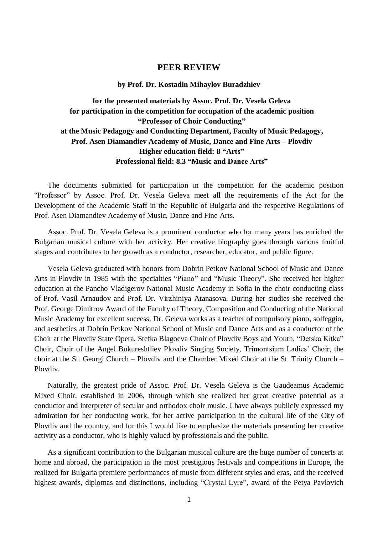## **PEER REVIEW**

## **by Prof. Dr. Kostadin Mihaylov Buradzhiev**

## **for the presented materials by Assoc. Prof. Dr. Vesela Geleva for participation in the competition for occupation of the academic position "Professor of Choir Conducting" at the Music Pedagogy and Conducting Department, Faculty of Music Pedagogy, Prof. Asen Diamandiev Academy of Music, Dance and Fine Arts – Plovdiv Higher education field: 8 "Arts" Professional field: 8.3 "Music and Dance Arts"**

The documents submitted for participation in the competition for the academic position "Professor" by Assoc. Prof. Dr. Vesela Geleva meet all the requirements of the Act for the Development of the Academic Staff in the Republic of Bulgaria and the respective Regulations of Prof. Asen Diamandiev Academy of Music, Dance and Fine Arts.

Assoc. Prof. Dr. Vesela Geleva is a prominent conductor who for many years has enriched the Bulgarian musical culture with her activity. Her creative biography goes through various fruitful stages and contributes to her growth as a conductor, researcher, educator, and public figure.

Vesela Geleva graduated with honors from Dobrin Petkov National School of Music and Dance Arts in Plovdiv in 1985 with the specialties "Piano" and "Music Theory". She received her higher education at the Pancho Vladigerov National Music Academy in Sofia in the choir conducting class of Prof. Vasil Arnaudov and Prof. Dr. Virzhiniya Atanasova. During her studies she received the Prof. George Dimitrov Award of the Faculty of Theory, Composition and Conducting of the National Music Academy for excellent success. Dr. Geleva works as a teacher of compulsory piano, solfeggio, and aesthetics at Dobrin Petkov National School of Music and Dance Arts and as a conductor of the Choir at the Plovdiv State Opera, Stefka Blagoeva Choir of Plovdiv Boys and Youth, "Detska Kitka" Choir, Choir of the Angel Bukureshtliev Plovdiv Singing Society, Trimontsium Ladies' Choir, the choir at the St. Georgi Church – Plovdiv and the Chamber Mixed Choir at the St. Trinity Church – Plovdiv.

Naturally, the greatest pride of Assoc. Prof. Dr. Vesela Geleva is the Gaudeamus Academic Mixed Choir, established in 2006, through which she realized her great creative potential as a conductor and interpreter of secular and orthodox choir music. I have always publicly expressed my admiration for her conducting work, for her active participation in the cultural life of the City of Plovdiv and the country, and for this I would like to emphasize the materials presenting her creative activity as a conductor, who is highly valued by professionals and the public.

As a significant contribution to the Bulgarian musical culture are the huge number of concerts at home and abroad, the participation in the most prestigious festivals and competitions in Europe, the realized for Bulgaria premiere performances of music from different styles and eras, and the received highest awards, diplomas and distinctions, including "Crystal Lyre", award of the Petya Pavlovich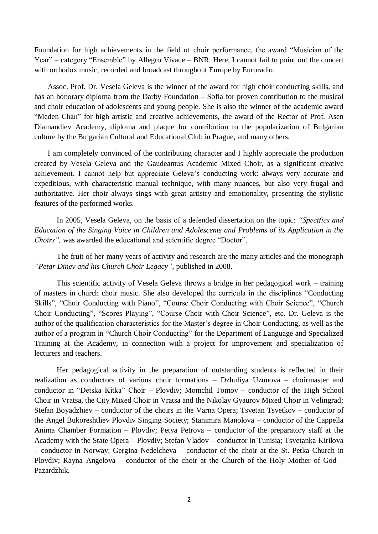Foundation for high achievements in the field of choir performance, the award "Musician of the Year" – category "Ensemble" by Allegro Vivace – BNR. Here, I cannot fail to point out the concert with orthodox music, recorded and broadcast throughout Europe by Euroradio.

Assoc. Prof. Dr. Vesela Geleva is the winner of the award for high choir conducting skills, and has an honorary diploma from the Darby Foundation – Sofia for proven contribution to the musical and choir education of adolescents and young people. She is also the winner of the academic award "Meden Chan" for high artistic and creative achievements, the award of the Rector of Prof. Asen Diamandiev Academy, diploma and plaque for contribution to the popularization of Bulgarian culture by the Bulgarian Cultural and Educational Club in Prague, and many others.

I am completely convinced of the contributing character and I highly appreciate the production created by Vesela Geleva and the Gaudeamus Academic Mixed Choir, as a significant creative achievement. I cannot help but appreciate Geleva's conducting work: always very accurate and expeditious, with characteristic manual technique, with many nuances, but also very frugal and authoritative. Her choir always sings with great artistry and emotionality, presenting the stylistic features of the performed works.

In 2005, Vesela Geleva, on the basis of a defended dissertation on the topic: *"Specifics and Education of the Singing Voice in Children and Adolescents and Problems of its Application in the Choirs",* was awarded the educational and scientific degree "Doctor".

The fruit of her many years of activity and research are the many articles and the monograph *"Petar Dinev and his Church Choir Legacy"*, published in 2008.

This scientific activity of Vesela Geleva throws a bridge in her pedagogical work – training of masters in church choir music. She also developed the curricula in the disciplines "Conducting Skills", "Choir Conducting with Piano", "Course Choir Conducting with Choir Science", "Church Choir Conducting", "Scores Playing", "Course Choir with Choir Science", etc. Dr. Geleva is the author of the qualification characteristics for the Master's degree in Choir Conducting, as well as the author of a program in "Church Choir Conducting" for the Department of Language and Specialized Training at the Academy, in connection with a project for improvement and specialization of lecturers and teachers.

Her pedagogical activity in the preparation of outstanding students is reflected in their realization as conductors of various choir formations – Dzhuliya Uzunova – choirmaster and conductor in "Detska Kitka" Choir – Plovdiv; Momchil Tomov – conductor of the High School Choir in Vratsa, the City Mixed Choir in Vratsa and the Nikolay Gyaurov Mixed Choir in Velingrad; Stefan Boyadzhiev – conductor of the choirs in the Varna Opera; Tsvetan Tsvetkov – conductor of the Angel Bukoreshtliev Plovdiv Singing Society; Stanimira Manolova – conductor of the Cappella Anima Chamber Formation – Plovdiv; Petya Petrova – conductor of the preparatory staff at the Academy with the State Opera – Plovdiv; Stefan Vladov – conductor in Tunisia; Tsvetanka Kirilova – conductor in Norway; Gergina Nedelcheva – conductor of the choir at the St. Petka Church in Plovdiv; Rayna Angelova – conductor of the choir at the Church of the Holy Mother of God – Pazardzhik.